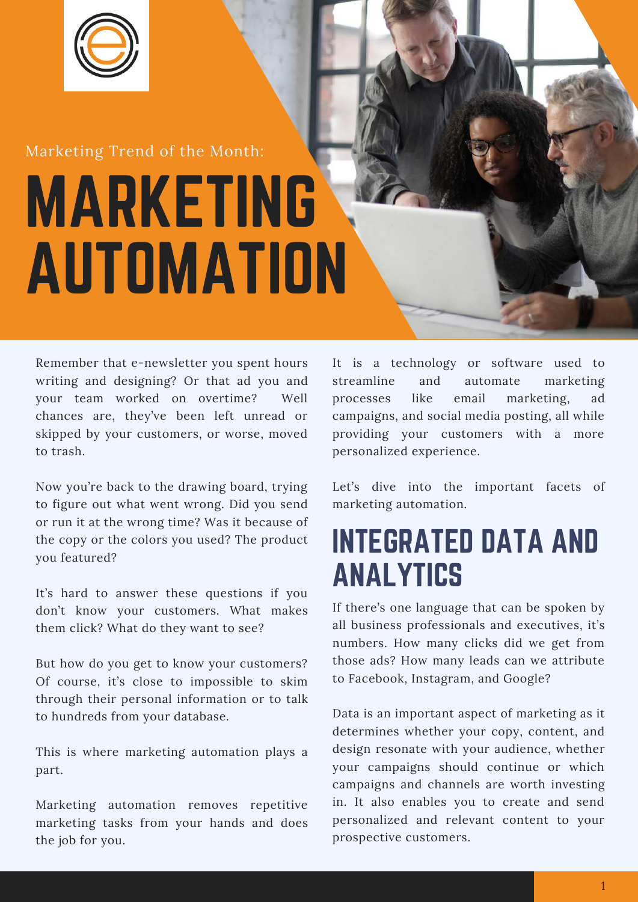

#### Marketing Trend of the Month:

# MARKETING AUTOMATION

Remember that e-newsletter you spent hours writing and designing? Or that ad you and your team worked on overtime? Well chances are, they've been left unread or skipped by your customers, or worse, moved to trash.

Now you're back to the drawing board, trying to figure out what went wrong. Did you send or run it at the wrong time? Was it because of the copy or the colors you used? The product you featured?

It's hard to answer these questions if you don't know your customers. What makes them click? What do they want to see?

But how do you get to know your customers? Of course, it's close to impossible to skim through their personal information or to talk to hundreds from your database.

This is where marketing automation plays a part.

Marketing automation removes repetitive marketing tasks from your hands and does the job for you.

It is a technology or software used to streamline and automate marketing processes like email marketing, ad campaigns, and social media posting, all while providing your customers with a more personalized experience.

Let's dive into the important facets of marketing automation.

### INTEGRATED DATA AND ANALYTICS

If there's one language that can be spoken by all business professionals and executives, it's numbers. How many clicks did we get from those ads? How many leads can we attribute to Facebook, Instagram, and Google?

Data is an important aspect of marketing as it determines whether your copy, content, and design resonate with your audience, whether your campaigns should continue or which campaigns and channels are worth investing in. It also enables you to create and send personalized and relevant content to your prospective customers.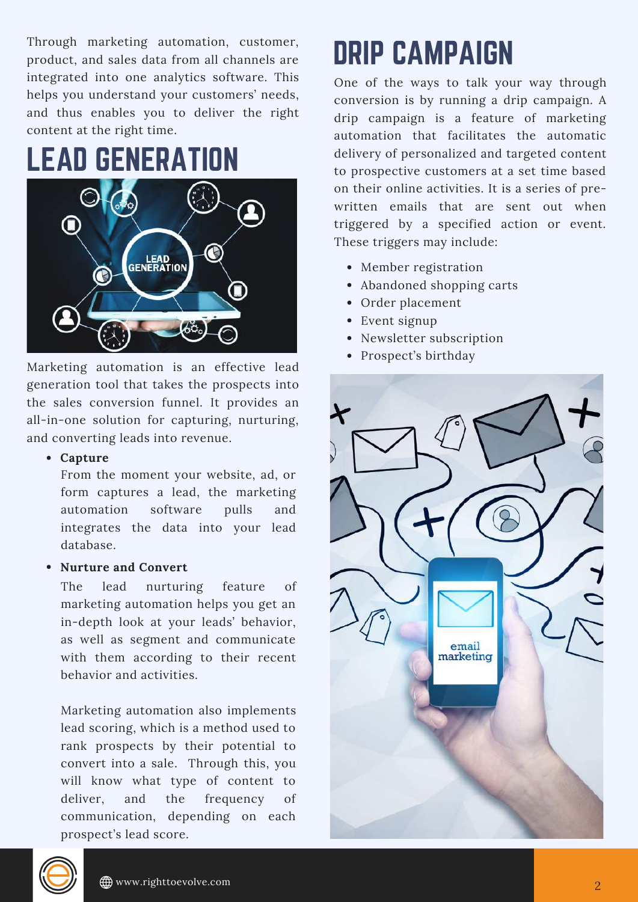Through marketing automation, customer, product, and sales data from all channels are integrated into one analytics software. This helps you understand your customers' needs, and thus enables you to deliver the right content at the right time.

### LEAD GENERATION



Marketing automation is an effective lead generation tool that takes the prospects into the sales conversion funnel. It provides an all-in-one solution for capturing, nurturing, and converting leads into revenue.

#### **Capture**

From the moment your website, ad, or form captures a lead, the marketing automation software pulls and integrates the data into your lead database.

#### **Nurture and Convert**

The lead nurturing feature of marketing automation helps you get an in-depth look at your leads' behavior, as well as segment and communicate with them according to their recent behavior and activities.

Marketing automation also implements lead scoring, which is a method used to rank prospects by their potential to convert into a sale. Through this, you will know what type of content to deliver, and the frequency of communication, depending on each prospect's lead score.

# DRIP CAMPAIGN

One of the ways to talk your way through conversion is by running a drip campaign. A drip campaign is a feature of marketing automation that facilitates the automatic delivery of personalized and targeted content to prospective customers at a set time based on their online activities. It is a series of prewritten emails that are sent out when triggered by a specified action or event. These triggers may include:

- Member registration
- Abandoned shopping carts
- Order placement
- Event signup
- Newsletter subscription
- Prospect's birthday